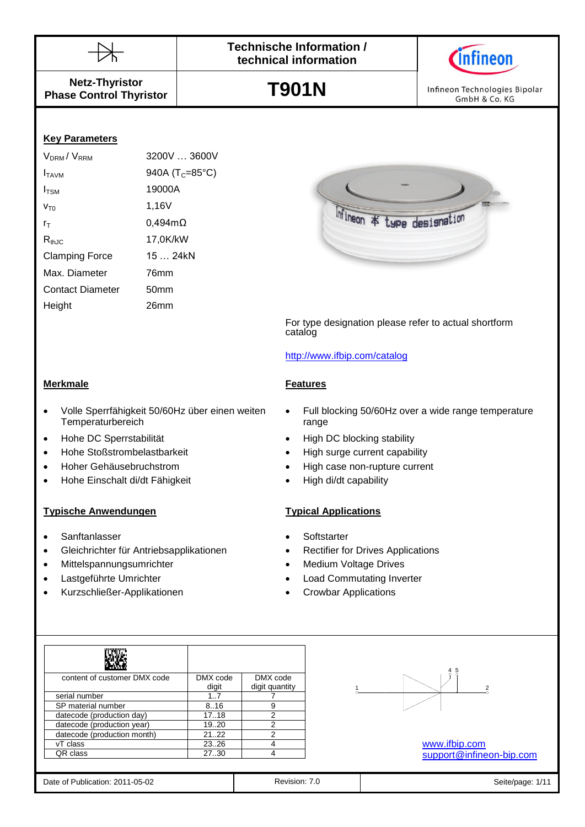



**Netz-Thyristor Phase Control Thyristor**

**T901N**

Infineon Technologies Bipolar GmbH & Co. KG

### **Key Parameters**

| V <sub>DRM</sub> /V <sub>RRM</sub> | 3200V  3600V                 |
|------------------------------------|------------------------------|
| I <sub>TAVM</sub>                  | 940A ( $T_c = 85^{\circ}C$ ) |
| $I_{TSM}$                          | 19000A                       |
| $V_{T0}$                           | 1,16V                        |
| $r_{\scriptscriptstyle\rm T}$      | $0,494 \text{m}\Omega$       |
| $R_{thJC}$                         | 17,0K/kW                     |
| <b>Clamping Force</b>              | 15  24kN                     |
| Max. Diameter                      | 76mm                         |
| <b>Contact Diameter</b>            | 50mm                         |
| Height                             | 26mm                         |
|                                    |                              |



For type designation please refer to actual shortform catalog

#### <http://www.ifbip.com/catalog>

- **Merkmale Features**
- Volle Sperrfähigkeit 50/60Hz über einen weiten **Temperaturbereich**
- 
- Hohe Stoßstrombelastbarkeit High surge current capability
- 
- Hohe Einschalt di/dt Fähigkeit High di/dt capability

#### **Typische Anwendungen Typical Applications**

- Sanftanlasser **Sanftanlasser Softstarter Contract and Softstarter**
- Gleichrichter für Antriebsapplikationen Rectifier for Drives Applications
- Mittelspannungsumrichter **Mittelspannungsumrichter Medium Voltage Drives**
- 
- Kurzschließer-Applikationen Crowbar Applications
- Full blocking 50/60Hz over a wide range temperature range
- Hohe DC Sperrstabilität **and School and School and School** High DC blocking stability
	-
- Hoher Gehäusebruchstrom High case non-rupture current
	-

- 
- 
- 
- Lastgeführte Umrichter Load Commutating Inverter
	-

| content of customer DMX code | DMX code | DMX code       |
|------------------------------|----------|----------------|
|                              | digit    | digit quantity |
| serial number                | 17       |                |
| SP material number           | 8.16     | 9              |
| datecode (production day)    | 17.18    | 2              |
| datecode (production year)   | 19.020   | 2              |
| datecode (production month)  | 2122     | 2              |
| vT class                     | 23.26    |                |
| QR class                     | 27.30    |                |



[www.ifbip.com](http://www.ifbip.com/) [support@infineon-bip.com](mailto:support@infineon-bip.com)

| Date of Publication: 2011-05-02 |  |
|---------------------------------|--|
|                                 |  |

Revision: 7.0 **Date of Publication: 7.0** Seite/page: 1/11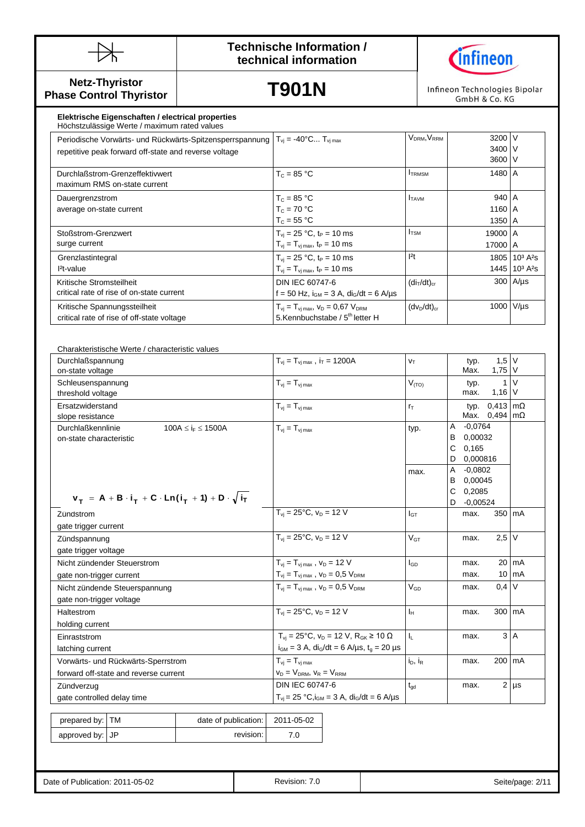



**Netz-Thyristor Phase Control Thyristor**

**T901N**

Infineon Technologies Bipolar GmbH & Co. KG

| Elektrische Eigenschaften / electrical properties<br>Höchstzulässige Werte / maximum rated values      |                                                   |                                     |         |                                                  |
|--------------------------------------------------------------------------------------------------------|---------------------------------------------------|-------------------------------------|---------|--------------------------------------------------|
| Periodische Vorwärts- und Rückwärts-Spitzensperrspannung   T <sub>vi</sub> = -40°C T <sub>vi max</sub> |                                                   | V <sub>DRM</sub> , V <sub>RRM</sub> | 3200 V  |                                                  |
| repetitive peak forward off-state and reverse voltage                                                  |                                                   |                                     | 3400 V  |                                                  |
|                                                                                                        |                                                   |                                     | 3600 V  |                                                  |
| Durchlaßstrom-Grenzeffektivwert                                                                        | $T_c = 85 °C$                                     | <b>TRMSM</b>                        | 1480 A  |                                                  |
| maximum RMS on-state current                                                                           |                                                   |                                     |         |                                                  |
| Dauergrenzstrom                                                                                        | $T_c = 85 °C$                                     | <b>I</b> TAVM                       | 940 A   |                                                  |
| average on-state current                                                                               | $T_c = 70 °C$                                     |                                     | 1160 A  |                                                  |
|                                                                                                        | $T_c = 55 °C$                                     |                                     | 1350 A  |                                                  |
| Stoßstrom-Grenzwert                                                                                    | $T_{vi}$ = 25 °C, t <sub>P</sub> = 10 ms          | <b>I</b> <sub>TSM</sub>             | 19000 A |                                                  |
| surge current                                                                                          | $T_{vi} = T_{vi \, max}$ , t <sub>P</sub> = 10 ms |                                     | 17000 A |                                                  |
| Grenzlastintegral                                                                                      | $T_{vi}$ = 25 °C, t <sub>P</sub> = 10 ms          | 2t                                  |         | 1805 10 <sup>3</sup> A <sup>2</sup> s            |
| $l2t-value$                                                                                            | $T_{vi} = T_{vi \, max}$ , t <sub>P</sub> = 10 ms |                                     |         | 1445 10 <sup>3</sup> A <sup>2</sup> <sub>S</sub> |
| Kritische Stromsteilheit                                                                               | DIN IEC 60747-6                                   | $(diT/dt)cr$                        |         | $300$ $A/\mu s$                                  |
| critical rate of rise of on-state current                                                              | f = 50 Hz, $i_{GM}$ = 3 A, $di_G/dt$ = 6 A/us     |                                     |         |                                                  |
| Kritische Spannungssteilheit                                                                           | $T_{vi} = T_{vi \, max}$ , $V_D = 0.67 V_{DRM}$   | $(dv_D/dt)_{cr}$                    |         | 1000 V/µs                                        |
| critical rate of rise of off-state voltage                                                             | 5.Kennbuchstabe / 5 <sup>th</sup> letter H        |                                     |         |                                                  |

Charakteristische Werte / characteristic values Durchlaßspannung on-state voltage  $T_{vi} = T_{vi \text{ max}}$ , i<sub>T</sub> = 1200A  $\vert v_T \vert$  typ. Max. 1,5 V 1,75 V Schleusenspannung threshold voltage  $T_{vi} = T_{vi \text{ max}}$  ( $V_{(TO)}$  typ. max. 1 1,16 V  $\overline{V}$ Ersatzwiderstand slope resistance  $T_{vi} = T_{vi \text{ max}}$  r<sub>T</sub> typ. Max. 0,494 0,413 mΩ mΩ Durchlaßkennlinie 100A  $\leq$  i<sub>F</sub>  $\leq$  1500A on-state characteristic  $T_{\text{vj}} = T_{\text{vj max}}$  (typ. A -0,0764 B 0,00032 C 0,165 D 0,000816 max. A -0,0802 B 0,00045 C 0,2085 D -0,00524 Zündstrom gate trigger current  $T_{vi} = 25^{\circ}$ C,  $v_D = 12$  V  $I_{GT}$  max. 350 mA Zündspannung gate trigger voltage  $T_{vi} = 25^{\circ}C$ ,  $v_D = 12 V$   $V_{GT}$  max.  $2.5 V$ Nicht zündender Steuerstrom gate non-trigger current  $T_{vj} = T_{vj \max}$ ,  $v_D = 12$  V  $T_{vj} = T_{vj \, max}$ ,  $v_D = 0.5$   $V_{DRM}$  $I_{GD}$  max. max. 20 10 mA mA Nicht zündende Steuerspannung gate non-trigger voltage  $T_{\text{vi}} = T_{\text{vi max}}$ ,  $v_D = 0.5$   $V_{\text{DRM}}$   $V_{\text{GD}}$  max. 0,4 V Haltestrom holding current  $T_{vi} = 25^{\circ}$ C,  $v_D = 12$  V  $I_H$  max. 300 mA Einraststrom latching current  $T_{vi} = 25^{\circ}$ C,  $v_D = 12$  V,  $R_{GK} \ge 10$   $\Omega$  $i_{GM} = 3$  A,  $di_G/dt = 6$  A/ $\mu s$ ,  $t_g = 20 \mu s$  $I_L$  | max.  $3 \overline{A}$ Vorwärts- und Rückwärts-Sperrstrom forward off-state and reverse current  $T_{vj} = T_{vj \max}$  $V_D = V_{DRM}$ ,  $V_R = V_{RRM}$  $i_D$ ,  $i_R$  max. 200 mA Zündverzug gate controlled delay time DIN IEC 60747-6  $T_{vi} = 25 °C$ ,  $i_{GM} = 3 A$ ,  $di_G/dt = 6 A/\mu s$  $\overline{t_{gd}}$  | max. 2 | µs prepared by: TM  $\vert$  date of publication: | 2011-05-02  $V_T$  = **A** + **B**  $\cdot$  **i**<sub>T</sub> + **C**  $\cdot$  **Ln(i**<sub>T</sub> + **1)** + **D**  $\cdot \sqrt{\textbf{i}_T}$ 

| prepared by: TM | date of publication: I | 2011-05-02 |
|-----------------|------------------------|------------|
| approved by: JP | revision: I            | 7.0        |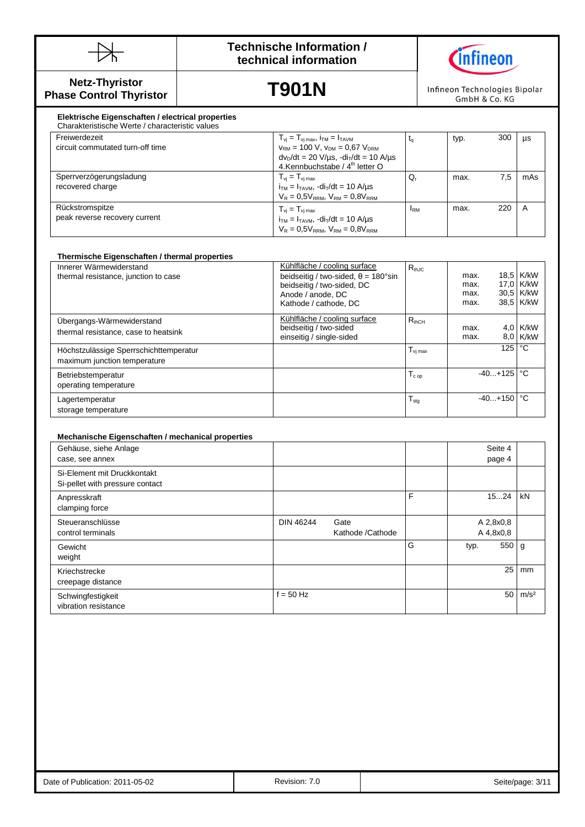



**Netz-Thyristor Phase Control Thyristor**

**T901N**

Infineon Technologies Bipolar GmbH & Co. KG

#### $T_{vj} = T_{vj \max}$ ,  $i_{TM} = 1_{TAVM}$ <br>  $V_{RM} = 100$  V,  $V_{DM} = 0.67$   $V_{DRM}$  $\frac{d}{dx} = \frac{1}{2}$  Mechanische /  $\frac{d}{dx}$  letter O **Elektrische Eigenschaften / electrical properties** Charakteristische Werte / characteristic values Freiwerdezeit circuit commutated turn-off time  $v_{RM}$  = 100 V,  $v_{DM}$  = 0,67  $V_{DRM}$  $dv<sub>D</sub>/dt = 20 V/ \mu s$ ,  $-di<sub>T</sub>/dt = 10 A/ \mu s$  $t_q$  typ. 300 µs Sperrverzögerungsladung recovered charge  $T_{vj} = T_{vj \max}$  $i_{TM} = I_{TAVM}$ ,  $di_T/dt = 10$  A/ $\mu$ s  $V_R = 0.5V_{RRM}$ ,  $V_{RM} = 0.8V_{RRM}$  $Q_r$  max. 7,5 mAs Rückstromspitze peak reverse recovery current  $T_{vj} = T_{vj \, max}$  $i_{TM} = I_{TAVM}$ ,  $-di_T/dt = 10$  A/ $\mu s$  $V_R = 0.5V_{RRM}$ ,  $V_{RM} = 0.8V_{RRM}$  $I_{\text{RM}}$  max. 220 A

| Thermische Eigenschaften / thermal properties |                                                    |                     |      |              |            |
|-----------------------------------------------|----------------------------------------------------|---------------------|------|--------------|------------|
| Innerer Wärmewiderstand                       | Kühlfläche / cooling surface                       | $R_{th,IC}$         |      |              |            |
| thermal resistance, junction to case          | beidseitig / two-sided, $\theta = 180^{\circ}$ sin |                     | max. |              | 18,5 K/kW  |
|                                               | beidseitig / two-sided, DC                         |                     | max. |              | 17,0 K/kW  |
|                                               | Anode / anode, DC                                  |                     | max. |              | 30,5 K/kW  |
|                                               | Kathode / cathode, DC                              |                     | max. |              | 38.5 K/kW  |
| Ubergangs-Wärmewiderstand                     | Kühlfläche / cooling surface                       | $R_{thCH}$          |      |              |            |
| thermal resistance, case to heatsink          | beidseitig / two-sided                             |                     | max. |              | $4.0$ K/kW |
|                                               | einseitig / single-sided                           |                     | max. |              | $8.0$ K/kW |
| Höchstzulässige Sperrschichttemperatur        |                                                    | $T_{\rm vj \, max}$ |      | 125          | °C         |
| maximum junction temperature                  |                                                    |                     |      |              |            |
| Betriebstemperatur                            |                                                    | $T_{c \text{ op}}$  |      | $-40+125$    | °€         |
| operating temperature                         |                                                    |                     |      |              |            |
| Lagertemperatur                               |                                                    | $T_{\text{stg}}$    |      | $-40+150$ °C |            |
| storage temperature                           |                                                    |                     |      |              |            |

#### **Mechanische Eigenschaften / mechanical properties**

| Gehäuse, siehe Anlage<br>case, see annex                       |                                       |   | Seite 4<br>page 4      |                  |
|----------------------------------------------------------------|---------------------------------------|---|------------------------|------------------|
| Si-Element mit Druckkontakt<br>Si-pellet with pressure contact |                                       |   |                        |                  |
| Anpresskraft<br>clamping force                                 |                                       | F | 1524                   | kN               |
| Steueranschlüsse<br>control terminals                          | DIN 46244<br>Gate<br>Kathode /Cathode |   | A 2,8x0,8<br>A 4,8x0,8 |                  |
| Gewicht<br>weight                                              |                                       | G | 550<br>typ.            | g                |
| Kriechstrecke<br>creepage distance                             |                                       |   | 25                     | mm               |
| Schwingfestigkeit<br>vibration resistance                      | $f = 50$ Hz                           |   | 50                     | m/s <sup>2</sup> |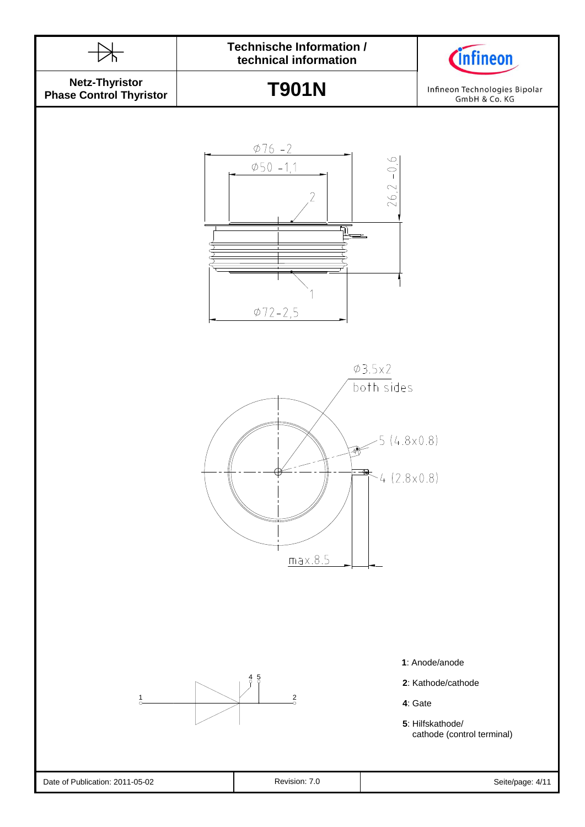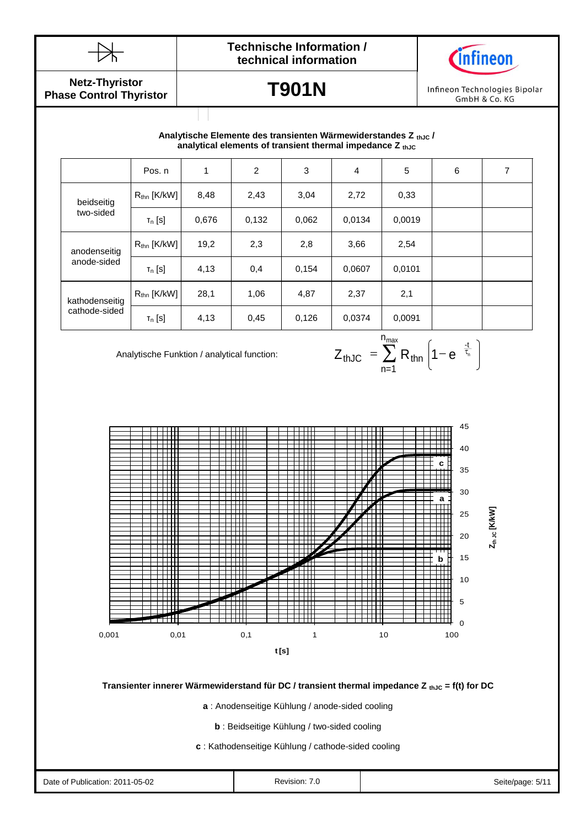



**Netz-Thyristor Phase Control Thyristor**

# **T901N**

Infineon Technologies Bipolar GmbH & Co. KG

## Durchlasskennlinie **analytical elements of transient thermal impedance Z thJC Analytische Elemente des transienten Wärmewiderstandes Z thJC /**

|                | Pos. n                  | 1     | 2     | 3     | $\overline{4}$ | 5      | 6 | 7 |
|----------------|-------------------------|-------|-------|-------|----------------|--------|---|---|
| beidseitig     | $R_{\text{thn}}$ [K/kW] | 8,48  | 2,43  | 3,04  | 2,72           | 0,33   |   |   |
| two-sided      | $T_n$ [S]               | 0,676 | 0,132 | 0,062 | 0,0134         | 0,0019 |   |   |
| anodenseitig   | $R_{\text{thn}}$ [K/kW] | 19,2  | 2,3   | 2,8   | 3,66           | 2,54   |   |   |
| anode-sided    | $T_n$ [S]               | 4,13  | 0,4   | 0,154 | 0,0607         | 0,0101 |   |   |
| kathodenseitig | $R_{\text{thn}}$ [K/kW] | 28,1  | 1,06  | 4,87  | 2,37           | 2,1    |   |   |
| cathode-sided  | $T_n$ [S]               | 4,13  | 0,45  | 0,126 | 0,0374         | 0,0091 |   |   |

Analytische Funktion / analytical function:

$$
Z_{thJC} = \sum_{n=1}^{n_{max}} R_{thn} \left( 1 - e^{-\frac{t}{\tau_n}} \right)
$$



**Transienter innerer Wärmewiderstand für DC / transient thermal impedance Z thJC = f(t) for DC** 

**a** : Anodenseitige Kühlung / anode-sided cooling

**b** : Beidseitige Kühlung / two-sided cooling

**c** : Kathodenseitige Kühlung / cathode-sided cooling

| Date of Publication: 2011-05-02 | Revision:<br>ن ،<br>. | Seite/page:<br>$\mathcal{L}$ |
|---------------------------------|-----------------------|------------------------------|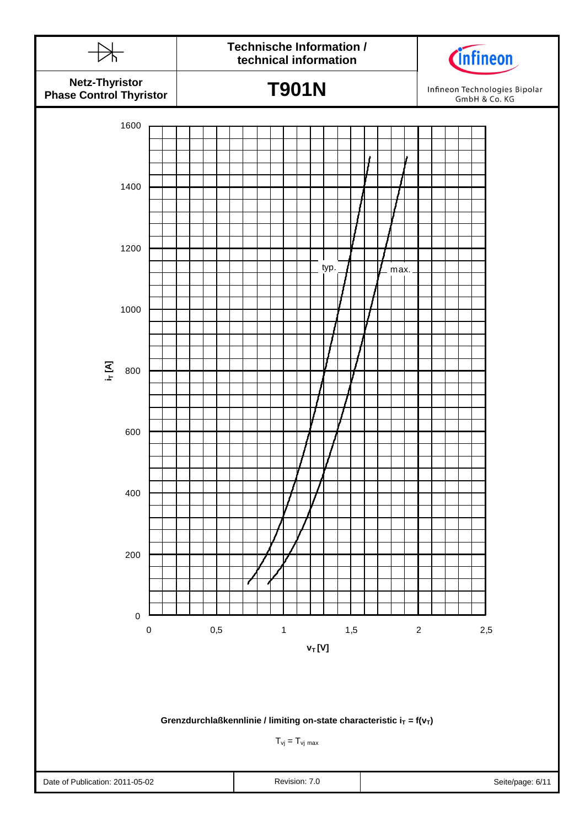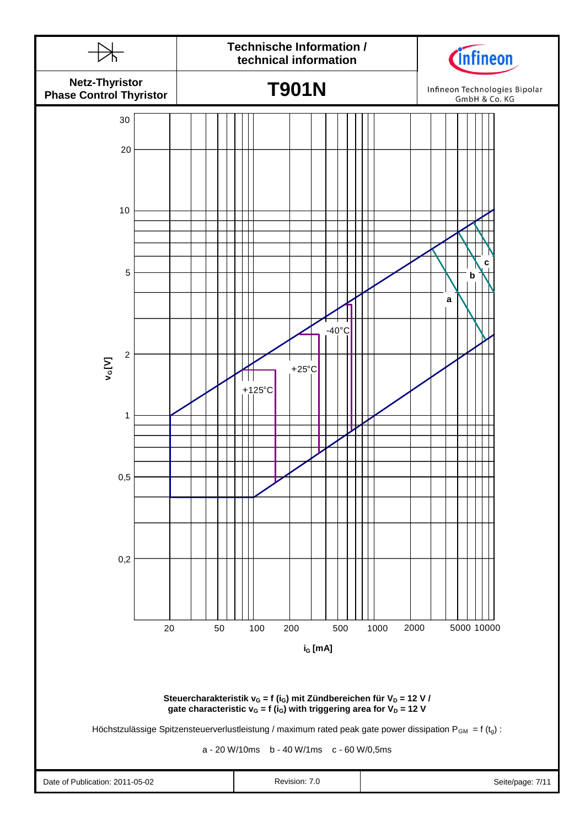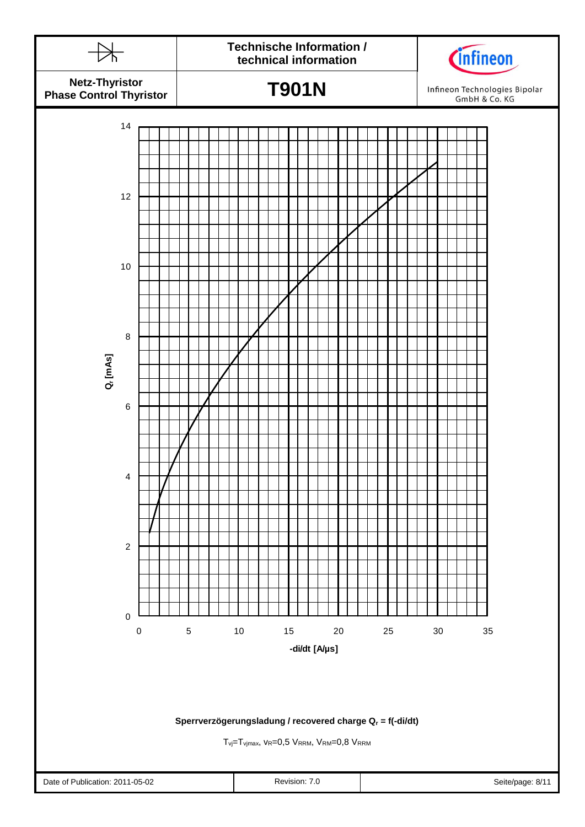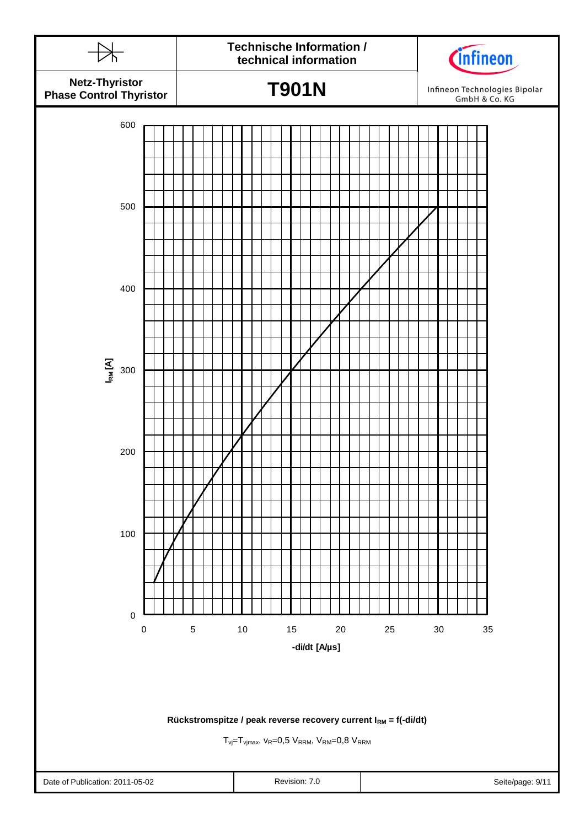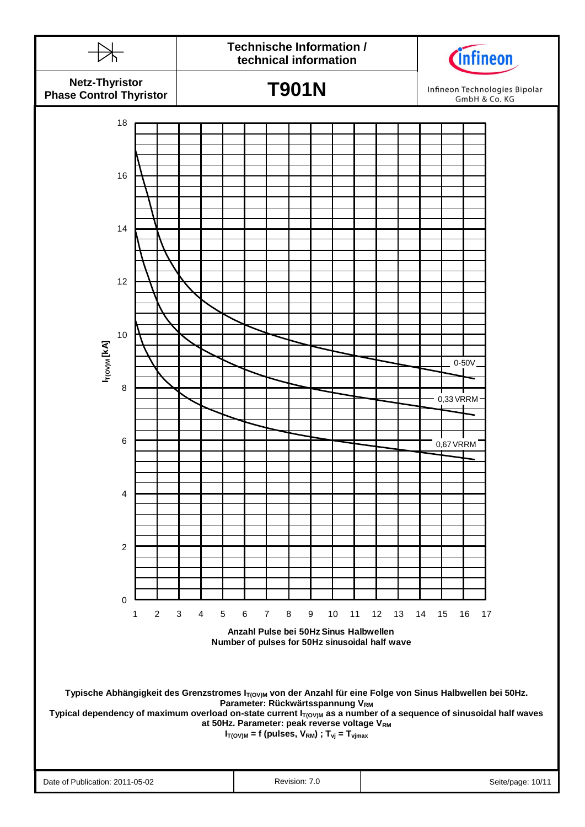